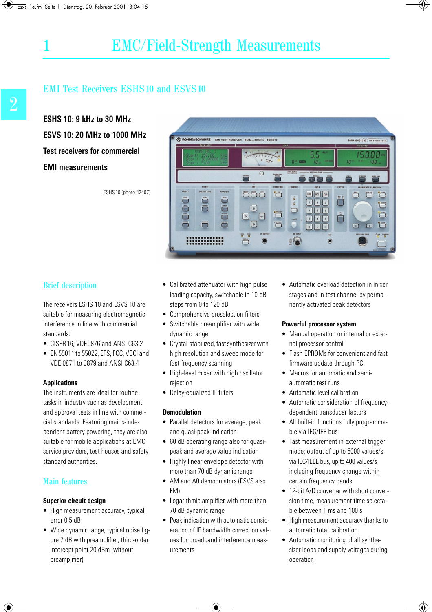**ESHS 10: 9 kHz to 30 MHz ESVS 10: 20 MHz to 1000 MHz Test receivers for commercial EMI measurements**

ESHS10 (photo 42407)



### Brief description

The receivers ESHS 10 and ESVS 10 are suitable for measuring electromagnetic interference in line with commercial standards:

- CISPR 16, VDE0876 and ANSI C63.2
- EN55011 to 55022, ETS, FCC, VCCI and VDE 0871 to 0879 and ANSI C63.4

#### **Applications**

The instruments are ideal for routine tasks in industry such as development and approval tests in line with commercial standards. Featuring mains-independent battery powering, they are also suitable for mobile applications at EMC service providers, test houses and safety standard authorities.

### Main features

#### **Superior circuit design**

- High measurement accuracy, typical error 0.5 dB
- Wide dynamic range, typical noise figure 7 dB with preamplifier, third-order intercept point 20 dBm (without preamplifier)
- Calibrated attenuator with high pulse loading capacity, switchable in 10-dB steps from 0 to 120 dB
- Comprehensive preselection filters
- Switchable preamplifier with wide dynamic range
- Crystal-stabilized, fast synthesizer with high resolution and sweep mode for fast frequency scanning
- High-level mixer with high oscillator rejection
- Delay-equalized IF filters

#### **Demodulation**

- Parallel detectors for average, peak and quasi-peak indication
- 60 dB operating range also for quasipeak and average value indication
- Highly linear envelope detector with more than 70 dB dynamic range
- AM and A0 demodulators (ESVS also FM)
- Logarithmic amplifier with more than 70 dB dynamic range
- Peak indication with automatic consideration of IF bandwidth correction values for broadband interference measurements

• Automatic overload detection in mixer stages and in test channel by permanently activated peak detectors

#### **Powerful processor system**

- Manual operation or internal or external processor control
- Flash EPROMs for convenient and fast firmware update through PC
- Macros for automatic and semiautomatic test runs
- Automatic level calibration
- Automatic consideration of frequencydependent transducer factors
- All built-in functions fully programmable via IEC/IEE bus
- Fast measurement in external trigger mode; output of up to 5000 values/s via IEC/IEEE bus, up to 400 values/s including frequency change within certain frequency bands
- 12-bit A/D converter with short conversion time, measurement time selectable between 1 ms and 100 s
- High measurement accuracy thanks to automatic total calibration
- Automatic monitoring of all synthesizer loops and supply voltages during operation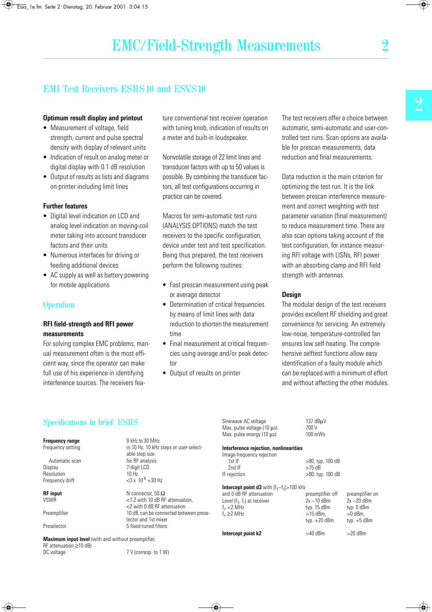#### **Optimum result display and printout**

- Measurement of voltage, field strength, current and pulse spectral density with display of relevant units
- Indication of result on analog meter or digital display with 0.1 dB resolution
- Output of results as lists and diagrams on printer including limit lines

#### **Further features**

- Digital level indication on LCD and analog level indication on moving-coil meter taking into account transducer factors and their units
- Numerous interfaces for driving or feeding additional devices
- AC supply as well as battery powering for mobile applications

### **Operation**

#### **RFI field-strength and RFI power measurements**

For solving complex EMC problems, manual measurement often is the most efficient way, since the operator can make full use of his experience in identifying interference sources. The receivers feature conventional test receiver operation with tuning knob, indication of results on a meter and built-in loudspeaker.

Nonvolatile storage of 22 limit lines and transducer factors with up to 50 values is possible. By combining the transducer factors, all test configurations occurring in practice can be covered.

Macros for semi-automatic test runs (ANALYSIS OPTIONS) match the test receivers to the specific configuration, device under test and test specification. Being thus prepared, the test receivers perform the following routines:

- Fast prescan measurement using peak or average detector
- Determination of critical frequencies by means of limit lines with data reduction to shorten the measurement time
- Final measurement at critical frequencies using average and/or peak detector
- Output of results on printer

The test receivers offer a choice between automatic, semi-automatic and user-controlled test runs. Scan options are available for prescan measurements, data reduction and final measurements.

Data reduction is the main criterion for optimizing the test run. It is the link between prescan interference measurement and correct weighting with test parameter variation (final measurement) to reduce measurement time. There are also scan options taking account of the test configuration, for instance measuring RFI voltage with LISNs, RFI power with an absorbing clamp and RFI field strength with antennas.

#### **Design**

The modular design of the test receivers provides excellent RF shielding and great convenience for servicing. An extremely low-noise, temperature-controlled fan ensures low self-heating. The comprehensive selftest functions allow easy identification of a faulty module which can be replaced with a minimum of effort and without affecting the other modules.

### Specifications in brief: ESHS

#### **Frequency range** 9 kHz to 30 MHz

Automatic scan for RF analysis<br>Display 7-digit LCD Resolution  $10 \text{ Hz}$ <br>Frequency drift  $\langle 3 \times 10^{-6} + 30 \text{ Hz} \rangle$ Frequency drift

**Maximum input level** (with and without preamplifier, RF attenuation ≥10 dB) DC voltage 7 V (corresp. to 1 W)

Frequency setting in 10 Hz, 10 kHz steps or user-selectable step size 7-digit LCD<br>10 Hz

**RF input**  $N$  connector,  $50 \Omega$ <br>VSWR  $\lt 12$  with 10 dB RF <1.2 with 10 dB RF attenuation, <2 with 0 dB RF attenuation Preamplifier 10 dB, can be connected between preselector and 1st mixer Preselector 5 fixed-tuned filters

Sinewave AC voltage 137 dBµV<br>Max. pulse voltage (10 us) 700 V Max. pulse voltage (10 µs) 700 V<br>Max. pulse energy (10 µs) 100 mWs Max. pulse energy (10  $\mu$ s)

#### **Interference rejection, nonlinearities**

| Image-frequency rejection |                     |
|---------------------------|---------------------|
| 1st IF                    | $>90$ , typ. 100 dB |
| 2nd IF                    | $>75$ dB            |
| IF rejection              | $>90$ , typ. 100 dB |
|                           |                     |

**Intercept point d3** with  $|f_1-f_2|>100$  kHz

| and 0 dB RF attenuation<br>Level $(f_1, f_2)$ at receiver<br>$f_{\text{in}}$ <2 MHz<br>$f_{in} \geq 2$ MHz | preamplifier off<br>$2x - 10$ dBm<br>typ. 15 dBm<br>$>15$ dBm.<br>typ. $+20$ dBm | preamplifier on<br>$2x - 20$ dBm<br>typ. 0 dBm<br>$>0$ dBm.<br>typ. $+5$ dBm |
|------------------------------------------------------------------------------------------------------------|----------------------------------------------------------------------------------|------------------------------------------------------------------------------|
| Intercept point k2                                                                                         | $>40$ dBm                                                                        | $>20$ dBm                                                                    |

2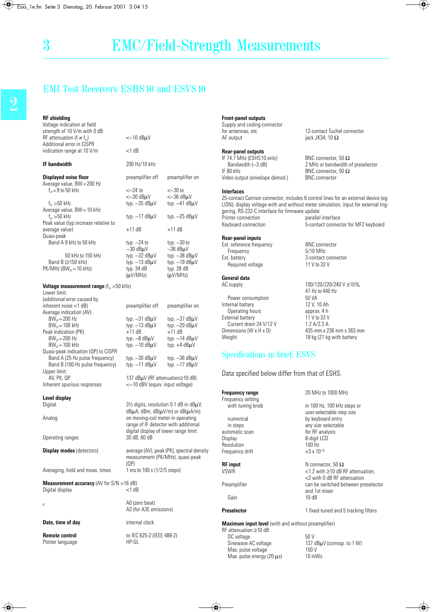| <b>RF</b> shielding<br>Voltage indication at field                                                                       |                                                                                                                                                                                          |                                                               |
|--------------------------------------------------------------------------------------------------------------------------|------------------------------------------------------------------------------------------------------------------------------------------------------------------------------------------|---------------------------------------------------------------|
| strength of 10 V/m with 0 dB                                                                                             |                                                                                                                                                                                          |                                                               |
| RF attenuation (f $\neq$ f <sub>in</sub> )<br>Additional error in CISPR                                                  | $<-10$ dB $\mu$ V                                                                                                                                                                        |                                                               |
| indication range at 10 V/m                                                                                               | <1 dB                                                                                                                                                                                    |                                                               |
| <b>IF</b> bandwidth                                                                                                      | 200 Hz/10 kHz                                                                                                                                                                            |                                                               |
| <b>Displayed noise floor</b><br>Average value, BW = 200 Hz                                                               | preamplifier off                                                                                                                                                                         | preamplifier on                                               |
| $f_{in} = 9$ to 50 kHz                                                                                                   | <–24 to<br>$<-30$ dB $\mu$ V<br>typ. $-35$ dB $\mu$ V                                                                                                                                    | $<$ $-30$ to<br><-36 dBµV                                     |
| $f_{\text{in}} > 50$ kHz<br>Average value, BW = 10 kHz<br>$f_{\text{in}} > 50$ kHz                                       | typ. $-17$ dB $\mu$ V                                                                                                                                                                    | typ. $-41$ dB $\mu$ V<br>typ. $-25$ dB $\mu$ V                |
| Peak value (typ.increase relative to<br>average value)                                                                   | $+11$ dB                                                                                                                                                                                 | $+11$ dB                                                      |
| Quasi-peak<br>Band A 9 kHz to 50 kHz                                                                                     | typ. $-24$ to<br>$-30$ dB $\mu$ V                                                                                                                                                        | typ. $-30$ to<br>$-36$ dB $\mu$ V                             |
| 50 kHz to 150 kHz<br>Band B (≥150 kHz)<br>$PK/MHz$ (BW <sub>IF</sub> = 10 kHz)                                           | typ. -32 dBµV<br>typ. $-13$ dB $\mu$ V<br>typ. 34 dB<br>$(\mu V/MHz)$                                                                                                                    | typ. -38 dBµV<br>typ. -19 dBµV<br>typ. 28 dB<br>$(\mu V/MHz)$ |
| <b>Voltage measurement range</b> $(f_{in} > 50$ kHz)<br>Lower limit:                                                     |                                                                                                                                                                                          |                                                               |
| (additional error caused by<br>inherent noise <1 dB)                                                                     | preamplifier off                                                                                                                                                                         | preamplifier on                                               |
| Average indication (AV)<br>$BW_F = 200 Hz$<br>$BW_F = 100$ kHz<br>Peak indication (PK)                                   | typ. $-31$ dB $\mu$ V<br>typ. - 13 dBµV<br>+11 dB                                                                                                                                        | typ. -37 dBµV<br>typ. - 20 dBuV<br>$+11$ dB                   |
| $BW_{IF} = 200 Hz$<br>$BW_F = 100$ kHz                                                                                   | typ. —8 dBµV<br>typ. $-10$ dB $\mu$ V                                                                                                                                                    | typ. - 14 dBµV<br>typ. +4 dBµV                                |
| Quasi-peak indication (QP) to CISPR<br>Band A (25 Hz pulse frequency)<br>Band B (100 Hz pulse frequency)<br>Upper limit: | typ. $-30$ dB $\mu$ V<br>typ. $-11$ dB $\mu$ V                                                                                                                                           | typ. - 36 dBµV<br>typ. - 17 dBµV                              |
| av, PK, QP                                                                                                               | 137 dBµV (RF attenuation≥10 dB)                                                                                                                                                          |                                                               |
| Inherent spurious responses                                                                                              | <-10 dBV (equiv. input voltage)                                                                                                                                                          |                                                               |
| Level display<br>Digital                                                                                                 | $3\frac{1}{2}$ digits, resolution 0.1 dB in dB $\mu$ V,                                                                                                                                  |                                                               |
| Analog                                                                                                                   | $dB\mu A$ , dBm, dB( $\mu V/m$ ) or dB( $\mu A/m$ )<br>on moving-coil meter in operating<br>range of IF detector with additional<br>digital display of lower range limit<br>30 dB, 60 dB |                                                               |
| Operating ranges                                                                                                         |                                                                                                                                                                                          |                                                               |
| <b>Display modes (detectors)</b>                                                                                         | measurement (PK/MHz), quasi-peak                                                                                                                                                         | average (AV), peak (PK), spectral density                     |
| Averaging, hold and meas. times                                                                                          | (QP)<br>1 ms to 100 s (1/2/5 steps)                                                                                                                                                      |                                                               |
| <b>Measurement accuracy</b> (AV for $S/N > 16$ dB)<br>Digital display                                                    | $<$ 1 dB                                                                                                                                                                                 |                                                               |
| IF                                                                                                                       | A0 (zero beat)<br>A3 (for A3E emissions)                                                                                                                                                 |                                                               |
| Date, time of day                                                                                                        | internal clock                                                                                                                                                                           |                                                               |
| Remote control<br>Plotter language                                                                                       | to IEC 625-2 (IEEE 488-2)<br>HP-GL                                                                                                                                                       |                                                               |

#### **Front-panel outputs**

Supply and coding connector<br>for antennas, etc for antennas, etc  $\overline{12}$ -contact Tuchel connector<br>
AF output  $\overline{12}$ -contact Tuchel connector

#### **Rear-panel outputs**

IF 74.7 MHz (ESHS 10 only) BNC connector, 50  $\Omega$ <br>Bandwidth (-3 dB) Bandwidth c 2 MHz or bandwidth c Bandwidth (-3 dB) 2 MHz or bandwidth of preselector<br>  $IF$ 80 kHz<br>  $BNC$  connector, 50  $\Omega$ Video output (envelope demod.)

#### **Interfaces**

25-contact Cannon connector, includes 6 control lines for an external device (eg LISN), display voltage with and without meter simulation, input for external triggering, RS-232-C interface for firmware update<br>Printer connection parallel Printer connection example interface<br>
Reyboard connection<br>
S-contact connect 5-contact connector for MF2 keyboard

iack JK34, 10  $\Omega$ 

BNC connector, 50  $\Omega$ <br>BNC connector

#### **Rear-panel inputs**

Ext. reference frequency BNC connector<br>Frequency 5/10 MHz Frequency Ext. battery 3-contact connector<br>
Required voltage 11 V to 33 V Required voltage

# **General data**

Power consumption 50 VA<br>
12 V, 10 Ah Internal battery 12 V, 10 Ah<br>Operating hours approx. 4 h Operating hours approx. 4 h<br>
dernal battery 11 V to 33 V

External battery 11 V to 33 V<br>Current drain 24 V/12 V 1.2 A/2.3 A Current drain 24 V/12 V<br>Dimensions (W x H x D) Dimensions (W x H x D)  $435$  mm x 236 mm x 363 mm<br>Weight  $\frac{18}{3}$  (21 kg with battery

### Specifications in brief: ESVS

Data specified below differ from that of ESHS.

| enuation≥10 dB)<br>input voltage)             |                                                            |                                                                          |  |  |
|-----------------------------------------------|------------------------------------------------------------|--------------------------------------------------------------------------|--|--|
|                                               | <b>Frequency range</b>                                     | 20 MHz to 1000 MHz                                                       |  |  |
|                                               | Frequency setting                                          |                                                                          |  |  |
| on 0.1 dB in dBµV,                            | with tuning knob                                           | in 100 Hz, 100 kHz steps or                                              |  |  |
| V/m) or dB(µA/m)                              |                                                            | user-selectable step size                                                |  |  |
| eter in operating                             | numerical                                                  | by keyboard entry                                                        |  |  |
| or with additional                            | in steps                                                   | any size selectable                                                      |  |  |
| ower range limit                              | automatic scan                                             | for RF analysis                                                          |  |  |
|                                               | Display                                                    | 8-digit LCD                                                              |  |  |
|                                               | Resolution                                                 | $100$ Hz                                                                 |  |  |
| < (PK), spectral density<br>/MHz), quasi-peak | Frequency drift                                            | $<$ 3 x 10 <sup>-6</sup>                                                 |  |  |
|                                               | <b>RF</b> input                                            | N connector, 50 $\Omega$                                                 |  |  |
| (5 steps)                                     | <b>VSWR</b>                                                | $<$ 1.2 with $\geq$ 10 dB RF attenuation,<br><2 with 0 dB RF attenuation |  |  |
|                                               | Preamplifier                                               | can be switched between preselector<br>and 1st mixer                     |  |  |
|                                               | Gain                                                       | 10dB                                                                     |  |  |
| ions)                                         | <b>Preselector</b>                                         | 1 fixed-tuned and 5 tracking filters                                     |  |  |
|                                               | <b>Maximum input level</b> (with and without preamplifier) |                                                                          |  |  |
|                                               | $RF$ attenuation $\geq 10$ dB                              |                                                                          |  |  |
| $488-2$                                       | DC voltage                                                 | 50 V                                                                     |  |  |
|                                               | Sinewave AC voltage                                        | 137 dBµV (corresp. to 1 W)                                               |  |  |
|                                               | Max. pulse voltage                                         | 150 V                                                                    |  |  |
|                                               | Max. pulse energy $(20 \mu s)$                             | 10 mWs                                                                   |  |  |

100/120/220/240 V ±10%,

18 kg (21 kg with battery

47 Hz to 440 Hz